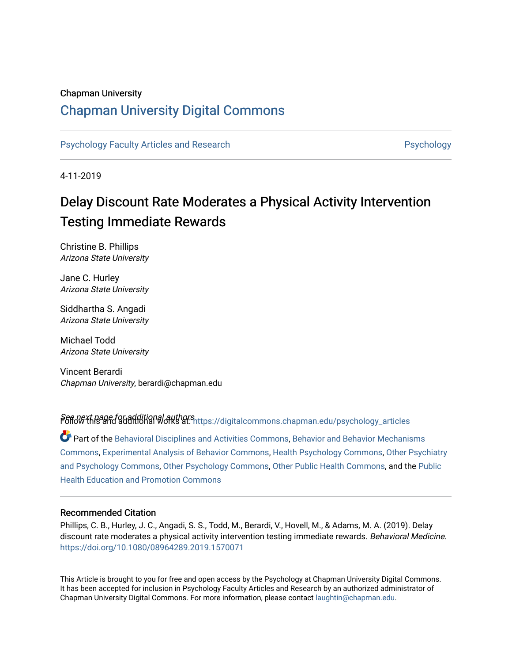### Chapman University

## [Chapman University Digital Commons](https://digitalcommons.chapman.edu/)

[Psychology Faculty Articles and Research](https://digitalcommons.chapman.edu/psychology_articles) **Provident Contact Article Structure** Psychology

4-11-2019

# Delay Discount Rate Moderates a Physical Activity Intervention Testing Immediate Rewards

Christine B. Phillips Arizona State University

Jane C. Hurley Arizona State University

Siddhartha S. Angadi Arizona State University

Michael Todd Arizona State University

Vincent Berardi Chapman University, berardi@chapman.edu

Seffd\ with page for additional authors<br>F6ffd\ with sand additional works at: [https://digitalcommons.chapman.edu/psychology\\_articles](https://digitalcommons.chapman.edu/psychology_articles?utm_source=digitalcommons.chapman.edu%2Fpsychology_articles%2F182&utm_medium=PDF&utm_campaign=PDFCoverPages)

Part of the [Behavioral Disciplines and Activities Commons](http://network.bepress.com/hgg/discipline/980?utm_source=digitalcommons.chapman.edu%2Fpsychology_articles%2F182&utm_medium=PDF&utm_campaign=PDFCoverPages), [Behavior and Behavior Mechanisms](http://network.bepress.com/hgg/discipline/963?utm_source=digitalcommons.chapman.edu%2Fpsychology_articles%2F182&utm_medium=PDF&utm_campaign=PDFCoverPages)  [Commons](http://network.bepress.com/hgg/discipline/963?utm_source=digitalcommons.chapman.edu%2Fpsychology_articles%2F182&utm_medium=PDF&utm_campaign=PDFCoverPages), [Experimental Analysis of Behavior Commons,](http://network.bepress.com/hgg/discipline/1236?utm_source=digitalcommons.chapman.edu%2Fpsychology_articles%2F182&utm_medium=PDF&utm_campaign=PDFCoverPages) [Health Psychology Commons,](http://network.bepress.com/hgg/discipline/411?utm_source=digitalcommons.chapman.edu%2Fpsychology_articles%2F182&utm_medium=PDF&utm_campaign=PDFCoverPages) [Other Psychiatry](http://network.bepress.com/hgg/discipline/992?utm_source=digitalcommons.chapman.edu%2Fpsychology_articles%2F182&utm_medium=PDF&utm_campaign=PDFCoverPages) [and Psychology Commons,](http://network.bepress.com/hgg/discipline/992?utm_source=digitalcommons.chapman.edu%2Fpsychology_articles%2F182&utm_medium=PDF&utm_campaign=PDFCoverPages) [Other Psychology Commons,](http://network.bepress.com/hgg/discipline/415?utm_source=digitalcommons.chapman.edu%2Fpsychology_articles%2F182&utm_medium=PDF&utm_campaign=PDFCoverPages) [Other Public Health Commons,](http://network.bepress.com/hgg/discipline/748?utm_source=digitalcommons.chapman.edu%2Fpsychology_articles%2F182&utm_medium=PDF&utm_campaign=PDFCoverPages) and the [Public](http://network.bepress.com/hgg/discipline/743?utm_source=digitalcommons.chapman.edu%2Fpsychology_articles%2F182&utm_medium=PDF&utm_campaign=PDFCoverPages) [Health Education and Promotion Commons](http://network.bepress.com/hgg/discipline/743?utm_source=digitalcommons.chapman.edu%2Fpsychology_articles%2F182&utm_medium=PDF&utm_campaign=PDFCoverPages) 

#### Recommended Citation

Phillips, C. B., Hurley, J. C., Angadi, S. S., Todd, M., Berardi, V., Hovell, M., & Adams, M. A. (2019). Delay discount rate moderates a physical activity intervention testing immediate rewards. Behavioral Medicine. <https://doi.org/10.1080/08964289.2019.1570071>

This Article is brought to you for free and open access by the Psychology at Chapman University Digital Commons. It has been accepted for inclusion in Psychology Faculty Articles and Research by an authorized administrator of Chapman University Digital Commons. For more information, please contact [laughtin@chapman.edu](mailto:laughtin@chapman.edu).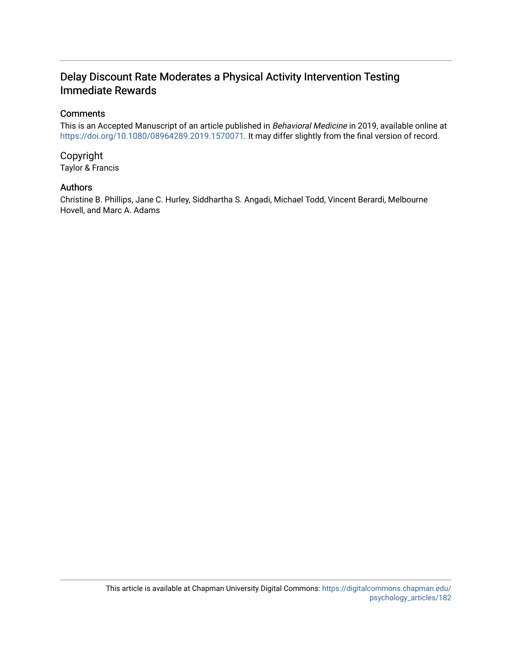## Delay Discount Rate Moderates a Physical Activity Intervention Testing Immediate Rewards

## **Comments**

This is an Accepted Manuscript of an article published in Behavioral Medicine in 2019, available online at [https://doi.org/10.1080/08964289.2019.1570071.](https://doi.org/10.1080/08964289.2019.1570071) It may differ slightly from the final version of record.

Copyright Taylor & Francis

### Authors

Christine B. Phillips, Jane C. Hurley, Siddhartha S. Angadi, Michael Todd, Vincent Berardi, Melbourne Hovell, and Marc A. Adams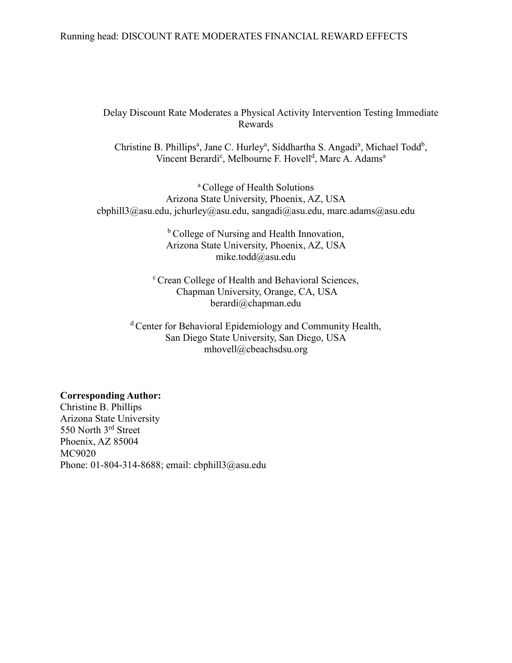### Running head: DISCOUNT RATE MODERATES FINANCIAL REWARD EFFECTS

## Delay Discount Rate Moderates a Physical Activity Intervention Testing Immediate Rewards

Christine B. Phillips<sup>a</sup>, Jane C. Hurley<sup>a</sup>, Siddhartha S. Angadi<sup>a</sup>, Michael Todd<sup>b</sup>, Vincent Berardi<sup>c</sup>, Melbourne F. Hovell<sup>d</sup>, Marc A. Adams<sup>a</sup>

<sup>a</sup> College of Health Solutions Arizona State University, Phoenix, AZ, USA cbphill3@asu.edu, jchurley@asu.edu, sangadi@asu.edu, marc.adams@asu.edu

> <sup>b</sup> College of Nursing and Health Innovation, Arizona State University, Phoenix, AZ, USA mike.todd@asu.edu

<sup>c</sup> Crean College of Health and Behavioral Sciences, Chapman University, Orange, CA, USA berardi@chapman.edu

<sup>d</sup> Center for Behavioral Epidemiology and Community Health, San Diego State University, San Diego, USA mhovell@cbeachsdsu.org

#### **Corresponding Author:**

Christine B. Phillips Arizona State University 550 North 3<sup>rd</sup> Street Phoenix, AZ 85004 MC9020 Phone: 01-804-314-8688; email: cbphill3@asu.edu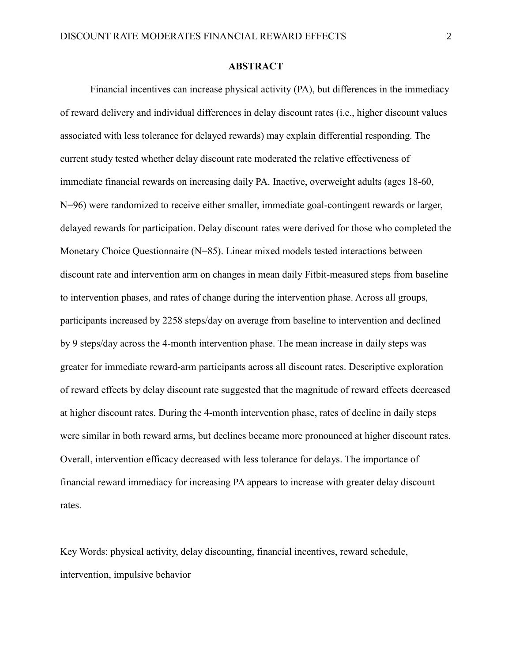## **ABSTRACT**

Financial incentives can increase physical activity (PA), but differences in the immediacy of reward delivery and individual differences in delay discount rates (i.e., higher discount values associated with less tolerance for delayed rewards) may explain differential responding. The current study tested whether delay discount rate moderated the relative effectiveness of immediate financial rewards on increasing daily PA. Inactive, overweight adults (ages 18-60, N=96) were randomized to receive either smaller, immediate goal-contingent rewards or larger, delayed rewards for participation. Delay discount rates were derived for those who completed the Monetary Choice Questionnaire (N=85). Linear mixed models tested interactions between discount rate and intervention arm on changes in mean daily Fitbit-measured steps from baseline to intervention phases, and rates of change during the intervention phase. Across all groups, participants increased by 2258 steps/day on average from baseline to intervention and declined by 9 steps/day across the 4-month intervention phase. The mean increase in daily steps was greater for immediate reward-arm participants across all discount rates. Descriptive exploration of reward effects by delay discount rate suggested that the magnitude of reward effects decreased at higher discount rates. During the 4-month intervention phase, rates of decline in daily steps were similar in both reward arms, but declines became more pronounced at higher discount rates. Overall, intervention efficacy decreased with less tolerance for delays. The importance of financial reward immediacy for increasing PA appears to increase with greater delay discount rates.

Key Words: physical activity, delay discounting, financial incentives, reward schedule, intervention, impulsive behavior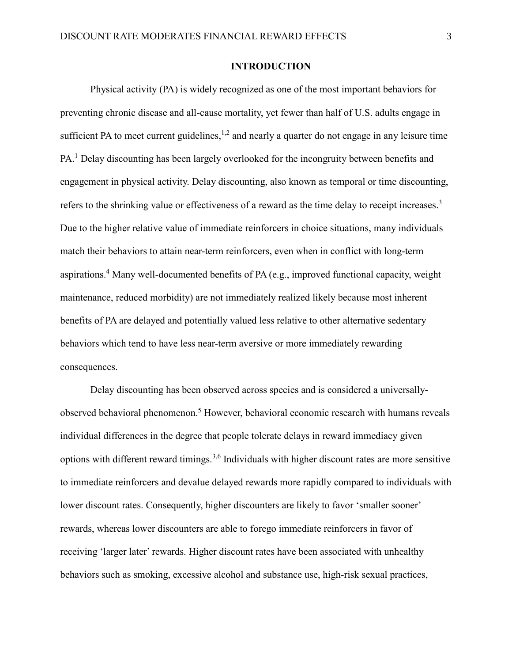## **INTRODUCTION**

Physical activity (PA) is widely recognized as one of the most important behaviors for preventing chronic disease and all-cause mortality, yet fewer than half of U.S. adults engage in sufficient PA to meet current guidelines,  $1,2$  $1,2$  and nearly a quarter do not engage in any leisure time PA.<sup>[1](#page-21-0)</sup> Delay discounting has been largely overlooked for the incongruity between benefits and engagement in physical activity. Delay discounting, also known as temporal or time discounting, refers to the shrinking value or effectiveness of a reward as the time delay to receipt increases[.](#page-21-2)<sup>3</sup> Due to the higher relative value of immediate reinforcers in choice situations, many individuals match their behaviors to attain near-term reinforcers, even when in conflict with long-term aspirations. [4](#page-21-3) Many well-documented benefits of PA (e.g., improved functional capacity, weight maintenance, reduced morbidity) are not immediately realized likely because most inherent benefits of PA are delayed and potentially valued less relative to other alternative sedentary behaviors which tend to have less near-term aversive or more immediately rewarding consequences.

Delay discounting has been observed across species and is considered a universallyobserved behavioral phenomenon. [5](#page-21-4) However, behavioral economic research with humans reveals individual differences in the degree that people tolerate delays in reward immediacy given options with different reward timings.<sup>[3](#page-21-2)[,6](#page-21-5)</sup> Individuals with higher discount rates are more sensitive to immediate reinforcers and devalue delayed rewards more rapidly compared to individuals with lower discount rates. Consequently, higher discounters are likely to favor 'smaller sooner' rewards, whereas lower discounters are able to forego immediate reinforcers in favor of receiving 'larger later' rewards. Higher discount rates have been associated with unhealthy behaviors such as smoking, excessive alcohol and substance use, high-risk sexual practices,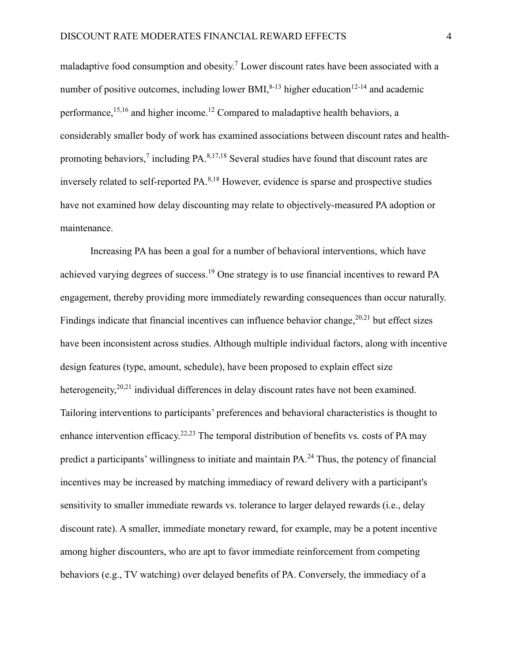maladaptive food consumption and obesity.<sup>[7](#page-21-6)</sup> Lower discount rates have been associated with a number of positive outcomes, including lower BMI, $8-13$  higher education $12-14$  and academic performance,<sup>[15,](#page-22-1)[16](#page-22-2)</sup> and higher income.<sup>[12](#page-22-0)</sup> Compared to maladaptive health behaviors, a considerably smaller body of work has examined associations between discount rates and health-promoting behaviors,<sup>[7](#page-21-6)</sup> including PA.<sup>[8](#page-21-7)[,17](#page-22-3)[,18](#page-22-4)</sup> Several studies have found that discount rates are inversely related to self-reported PA.<sup>[8,](#page-21-7)[18](#page-22-4)</sup> However, evidence is sparse and prospective studies have not examined how delay discounting may relate to objectively-measured PA adoption or maintenance.

Increasing PA has been a goal for a number of behavioral interventions, which have achieved varying degrees of success.<sup>[19](#page-23-0)</sup> One strategy is to use financial incentives to reward PA engagement, thereby providing more immediately rewarding consequences than occur naturally. Findings indicate that financial incentives can influence behavior change, <sup>[20](#page-23-1)[,21](#page-23-2)</sup> but effect sizes have been inconsistent across studies. Although multiple individual factors, along with incentive design features (type, amount, schedule), have been proposed to explain effect size heterogeneity,<sup>[20,](#page-23-1)[21](#page-23-2)</sup> individual differences in delay discount rates have not been examined. Tailoring interventions to participants' preferences and behavioral characteristics is thought to enhance intervention efficacy.<sup>[22](#page-23-3)[,23](#page-23-4)</sup> The temporal distribution of benefits vs. costs of PA may predict a participants' willingness to initiate and maintain PA.<sup>[24](#page-23-5)</sup> Thus, the potency of financial incentives may be increased by matching immediacy of reward delivery with a participant's sensitivity to smaller immediate rewards vs. tolerance to larger delayed rewards (i.e., delay discount rate). A smaller, immediate monetary reward, for example, may be a potent incentive among higher discounters, who are apt to favor immediate reinforcement from competing behaviors (e.g., TV watching) over delayed benefits of PA. Conversely, the immediacy of a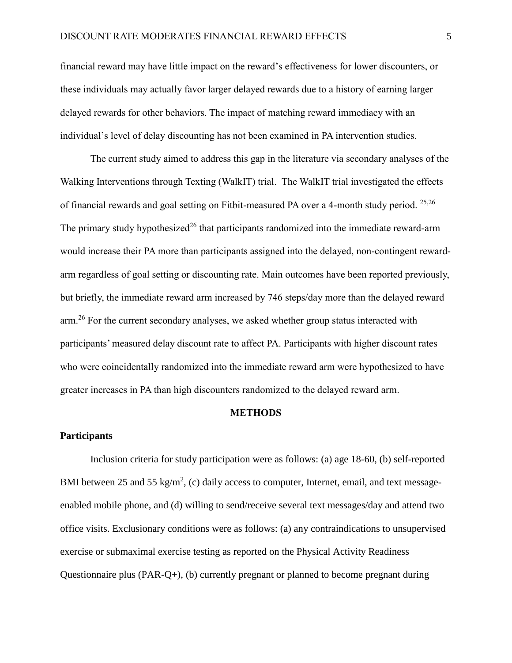financial reward may have little impact on the reward's effectiveness for lower discounters, or these individuals may actually favor larger delayed rewards due to a history of earning larger delayed rewards for other behaviors. The impact of matching reward immediacy with an individual's level of delay discounting has not been examined in PA intervention studies.

The current study aimed to address this gap in the literature via secondary analyses of the Walking Interventions through Texting (WalkIT) trial. The WalkIT trial investigated the effects of financial rewards and goal setting on Fitbit-measured PA over a 4-month study period. <sup>[25,](#page-23-6)[26](#page-23-7)</sup> The primary study hypothesized<sup>[26](#page-23-7)</sup> that participants randomized into the immediate reward-arm would increase their PA more than participants assigned into the delayed, non-contingent rewardarm regardless of goal setting or discounting rate. Main outcomes have been reported previously, but briefly, the immediate reward arm increased by 746 steps/day more than the delayed reward arm.<sup>[26](#page-23-7)</sup> For the current secondary analyses, we asked whether group status interacted with participants' measured delay discount rate to affect PA. Participants with higher discount rates who were coincidentally randomized into the immediate reward arm were hypothesized to have greater increases in PA than high discounters randomized to the delayed reward arm.

#### **METHODS**

#### **Participants**

Inclusion criteria for study participation were as follows: (a) age 18-60, (b) self-reported BMI between 25 and 55 kg/m<sup>2</sup>, (c) daily access to computer, Internet, email, and text messageenabled mobile phone, and (d) willing to send/receive several text messages/day and attend two office visits. Exclusionary conditions were as follows: (a) any contraindications to unsupervised exercise or submaximal exercise testing as reported on the Physical Activity Readiness Questionnaire plus (PAR-Q+), (b) currently pregnant or planned to become pregnant during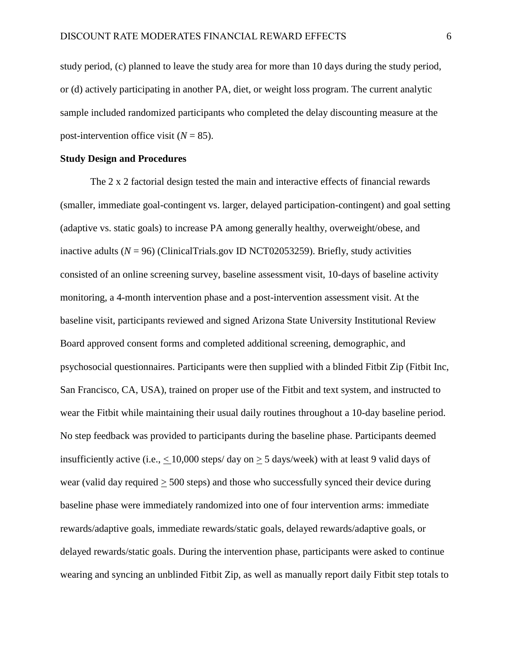study period, (c) planned to leave the study area for more than 10 days during the study period, or (d) actively participating in another PA, diet, or weight loss program. The current analytic sample included randomized participants who completed the delay discounting measure at the post-intervention office visit  $(N = 85)$ .

#### **Study Design and Procedures**

The 2 x 2 factorial design tested the main and interactive effects of financial rewards (smaller, immediate goal-contingent vs. larger, delayed participation-contingent) and goal setting (adaptive vs. static goals) to increase PA among generally healthy, overweight/obese, and inactive adults  $(N = 96)$  (ClinicalTrials.gov ID NCT02053259). Briefly, study activities consisted of an online screening survey, baseline assessment visit, 10-days of baseline activity monitoring, a 4-month intervention phase and a post-intervention assessment visit. At the baseline visit, participants reviewed and signed Arizona State University Institutional Review Board approved consent forms and completed additional screening, demographic, and psychosocial questionnaires. Participants were then supplied with a blinded Fitbit Zip (Fitbit Inc, San Francisco, CA, USA), trained on proper use of the Fitbit and text system, and instructed to wear the Fitbit while maintaining their usual daily routines throughout a 10-day baseline period. No step feedback was provided to participants during the baseline phase. Participants deemed insufficiently active (i.e.,  $\langle 10,000 \text{ steps/ day on} \rangle$  5 days/week) with at least 9 valid days of wear (valid day required > 500 steps) and those who successfully synced their device during baseline phase were immediately randomized into one of four intervention arms: immediate rewards/adaptive goals, immediate rewards/static goals, delayed rewards/adaptive goals, or delayed rewards/static goals. During the intervention phase, participants were asked to continue wearing and syncing an unblinded Fitbit Zip, as well as manually report daily Fitbit step totals to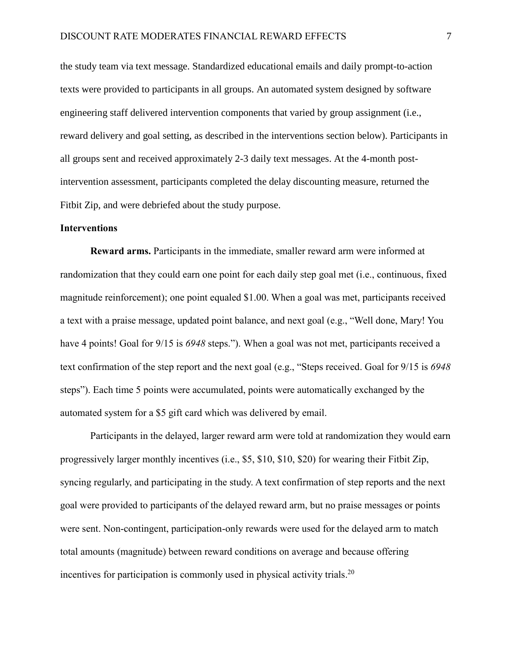the study team via text message. Standardized educational emails and daily prompt-to-action texts were provided to participants in all groups. An automated system designed by software engineering staff delivered intervention components that varied by group assignment (i.e., reward delivery and goal setting, as described in the interventions section below). Participants in all groups sent and received approximately 2-3 daily text messages. At the 4-month postintervention assessment, participants completed the delay discounting measure, returned the Fitbit Zip, and were debriefed about the study purpose.

#### **Interventions**

**Reward arms.** Participants in the immediate, smaller reward arm were informed at randomization that they could earn one point for each daily step goal met (i.e., continuous, fixed magnitude reinforcement); one point equaled \$1.00. When a goal was met, participants received a text with a praise message, updated point balance, and next goal (e.g., "Well done, Mary! You have 4 points! Goal for 9/15 is *6948* steps."). When a goal was not met, participants received a text confirmation of the step report and the next goal (e.g., "Steps received. Goal for 9/15 is *6948* steps"). Each time 5 points were accumulated, points were automatically exchanged by the automated system for a \$5 gift card which was delivered by email.

Participants in the delayed, larger reward arm were told at randomization they would earn progressively larger monthly incentives (i.e., \$5, \$10, \$10, \$20) for wearing their Fitbit Zip, syncing regularly, and participating in the study. A text confirmation of step reports and the next goal were provided to participants of the delayed reward arm, but no praise messages or points were sent. Non-contingent, participation-only rewards were used for the delayed arm to match total amounts (magnitude) between reward conditions on average and because offering incentives for participation is commonly used in physical activity trials. [20](#page-23-1)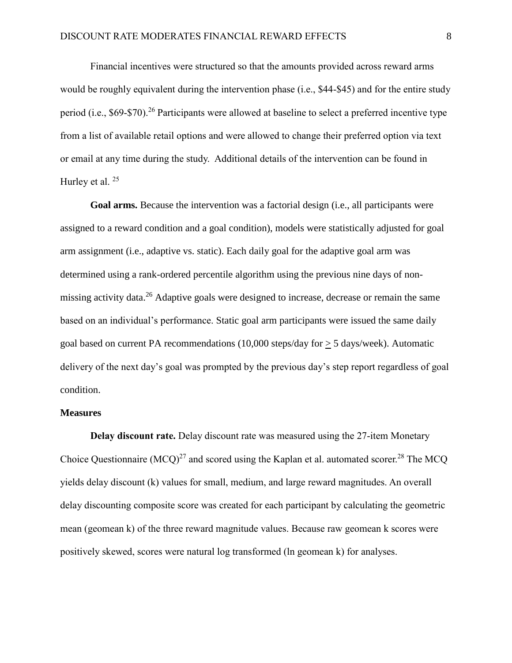Financial incentives were structured so that the amounts provided across reward arms would be roughly equivalent during the intervention phase (i.e., \$44-\$45) and for the entire study period (i.e., \$69-\$70).<sup>[26](#page-23-7)</sup> Participants were allowed at baseline to select a preferred incentive type from a list of available retail options and were allowed to change their preferred option via text or email at any time during the study. Additional details of the intervention can be found in Hurley et al.<sup>[25](#page-23-6)</sup>

**Goal arms.** Because the intervention was a factorial design (i.e., all participants were assigned to a reward condition and a goal condition), models were statistically adjusted for goal arm assignment (i.e., adaptive vs. static). Each daily goal for the adaptive goal arm was determined using a rank-ordered percentile algorithm using the previous nine days of non-missing activity data.<sup>[26](#page-23-7)</sup> Adaptive goals were designed to increase, decrease or remain the same based on an individual's performance. Static goal arm participants were issued the same daily goal based on current PA recommendations (10,000 steps/day for > 5 days/week). Automatic delivery of the next day's goal was prompted by the previous day's step report regardless of goal condition.

#### **Measures**

**Delay discount rate.** Delay discount rate was measured using the 27-item Monetary Choice Questionnaire  $(MCO)^{27}$  $(MCO)^{27}$  $(MCO)^{27}$  and scored using the Kaplan et al. automated scorer.<sup>[28](#page-24-0)</sup> The MCQ yields delay discount (k) values for small, medium, and large reward magnitudes. An overall delay discounting composite score was created for each participant by calculating the geometric mean (geomean k) of the three reward magnitude values. Because raw geomean k scores were positively skewed, scores were natural log transformed (ln geomean k) for analyses.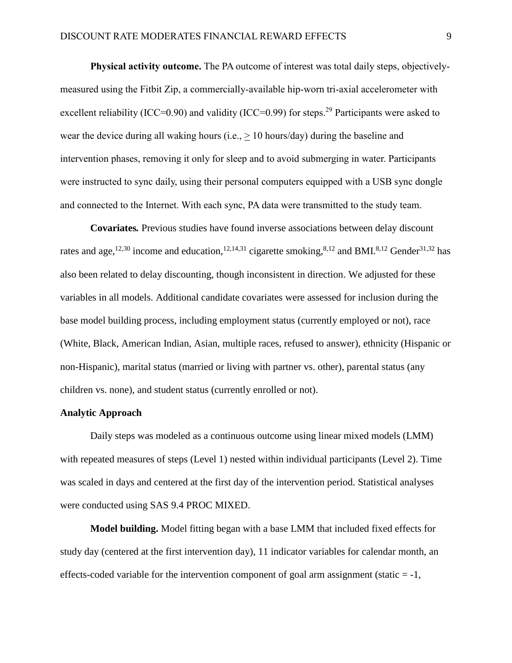**Physical activity outcome.** The PA outcome of interest was total daily steps, objectivelymeasured using the Fitbit Zip, a commercially-available hip-worn tri-axial accelerometer with excellent reliability (ICC=0.90) and validity (ICC=0.99) for steps.<sup>[29](#page-24-1)</sup> Participants were asked to wear the device during all waking hours (i.e., > 10 hours/day) during the baseline and intervention phases, removing it only for sleep and to avoid submerging in water. Participants were instructed to sync daily, using their personal computers equipped with a USB sync dongle and connected to the Internet. With each sync, PA data were transmitted to the study team.

**Covariates***.* Previous studies have found inverse associations between delay discount rates and age,<sup>[12,](#page-22-0)[30](#page-24-2)</sup> income and education,<sup>12,[14](#page-22-5)[,31](#page-24-3)</sup> cigarette smoking,<sup>[8,](#page-21-7)[12](#page-22-0)</sup> and BMI.<sup>8,12</sup> Gender<sup>[31](#page-24-3)[,32](#page-24-4)</sup> has also been related to delay discounting, though inconsistent in direction. We adjusted for these variables in all models. Additional candidate covariates were assessed for inclusion during the base model building process, including employment status (currently employed or not), race (White, Black, American Indian, Asian, multiple races, refused to answer), ethnicity (Hispanic or non-Hispanic), marital status (married or living with partner vs. other), parental status (any children vs. none), and student status (currently enrolled or not).

#### **Analytic Approach**

Daily steps was modeled as a continuous outcome using linear mixed models (LMM) with repeated measures of steps (Level 1) nested within individual participants (Level 2). Time was scaled in days and centered at the first day of the intervention period. Statistical analyses were conducted using SAS 9.4 PROC MIXED.

**Model building.** Model fitting began with a base LMM that included fixed effects for study day (centered at the first intervention day), 11 indicator variables for calendar month, an effects-coded variable for the intervention component of goal arm assignment (static  $= -1$ ,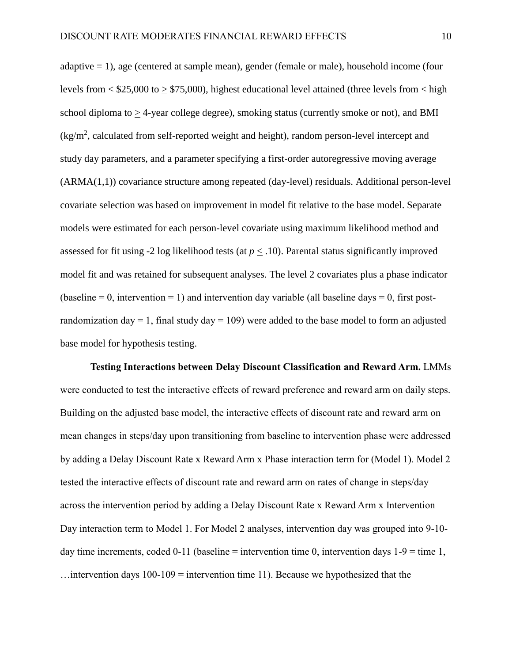adaptive = 1), age (centered at sample mean), gender (female or male), household income (four levels from  $\lt$  \$25,000 to  $>$  \$75,000), highest educational level attained (three levels from  $\lt$  high school diploma to > 4-year college degree), smoking status (currently smoke or not), and BMI  $\frac{1}{\text{kg}}$ , calculated from self-reported weight and height), random person-level intercept and study day parameters, and a parameter specifying a first-order autoregressive moving average (ARMA(1,1)) covariance structure among repeated (day-level) residuals. Additional person-level covariate selection was based on improvement in model fit relative to the base model. Separate models were estimated for each person-level covariate using maximum likelihood method and assessed for fit using -2 log likelihood tests (at  $p < .10$ ). Parental status significantly improved model fit and was retained for subsequent analyses. The level 2 covariates plus a phase indicator (baseline  $= 0$ , intervention  $= 1$ ) and intervention day variable (all baseline days  $= 0$ , first postrandomization day = 1, final study day = 109) were added to the base model to form an adjusted base model for hypothesis testing.

**Testing Interactions between Delay Discount Classification and Reward Arm.** LMMs were conducted to test the interactive effects of reward preference and reward arm on daily steps. Building on the adjusted base model, the interactive effects of discount rate and reward arm on mean changes in steps/day upon transitioning from baseline to intervention phase were addressed by adding a Delay Discount Rate x Reward Arm x Phase interaction term for (Model 1). Model 2 tested the interactive effects of discount rate and reward arm on rates of change in steps/day across the intervention period by adding a Delay Discount Rate x Reward Arm x Intervention Day interaction term to Model 1. For Model 2 analyses, intervention day was grouped into 9-10 day time increments, coded 0-11 (baseline = intervention time 0, intervention days  $1-9 =$  time 1,  $\dots$  intervention days 100-109 = intervention time 11). Because we hypothesized that the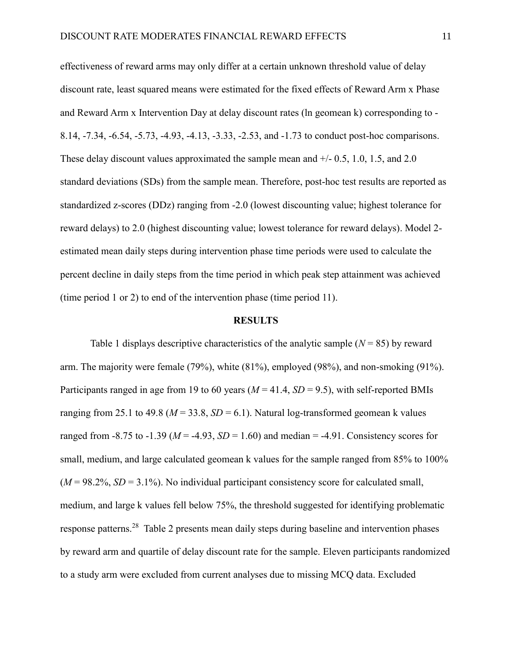effectiveness of reward arms may only differ at a certain unknown threshold value of delay discount rate, least squared means were estimated for the fixed effects of Reward Arm x Phase and Reward Arm x Intervention Day at delay discount rates (ln geomean k) corresponding to - 8.14, -7.34, -6.54, -5.73, -4.93, -4.13, -3.33, -2.53, and -1.73 to conduct post-hoc comparisons. These delay discount values approximated the sample mean and  $+/- 0.5$ , 1.0, 1.5, and 2.0 standard deviations (SDs) from the sample mean. Therefore, post-hoc test results are reported as standardized z-scores (DDz) ranging from -2.0 (lowest discounting value; highest tolerance for reward delays) to 2.0 (highest discounting value; lowest tolerance for reward delays). Model 2 estimated mean daily steps during intervention phase time periods were used to calculate the percent decline in daily steps from the time period in which peak step attainment was achieved (time period 1 or 2) to end of the intervention phase (time period 11).

#### **RESULTS**

Table 1 displays descriptive characteristics of the analytic sample  $(N = 85)$  by reward arm. The majority were female (79%), white (81%), employed (98%), and non-smoking (91%). Participants ranged in age from 19 to 60 years (*M* = 41.4, *SD* = 9.5), with self-reported BMIs ranging from 25.1 to 49.8 ( $M = 33.8$ ,  $SD = 6.1$ ). Natural log-transformed geomean k values ranged from -8.75 to -1.39 ( $M = -4.93$ ,  $SD = 1.60$ ) and median = -4.91. Consistency scores for small, medium, and large calculated geomean k values for the sample ranged from 85% to 100%  $(M = 98.2\%, SD = 3.1\%)$ . No individual participant consistency score for calculated small, medium, and large k values fell below 75%, the threshold suggested for identifying problematic response patterns.<sup>[28](#page-24-0)</sup> Table 2 presents mean daily steps during baseline and intervention phases by reward arm and quartile of delay discount rate for the sample. Eleven participants randomized to a study arm were excluded from current analyses due to missing MCQ data. Excluded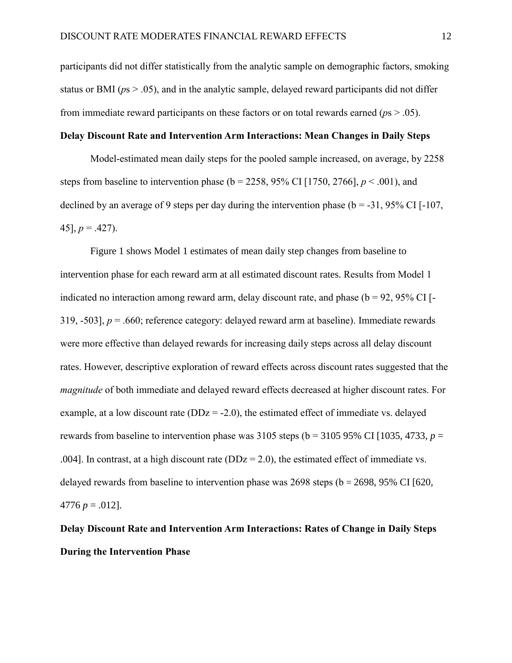participants did not differ statistically from the analytic sample on demographic factors, smoking status or BMI (*p*s > .05), and in the analytic sample, delayed reward participants did not differ from immediate reward participants on these factors or on total rewards earned (*p*s > .05).

### **Delay Discount Rate and Intervention Arm Interactions: Mean Changes in Daily Steps**

Model-estimated mean daily steps for the pooled sample increased, on average, by 2258 steps from baseline to intervention phase ( $b = 2258$ , 95% CI [1750, 2766],  $p < .001$ ), and declined by an average of 9 steps per day during the intervention phase ( $b = -31$ , 95% CI [-107, 45],  $p = .427$ ).

Figure 1 shows Model 1 estimates of mean daily step changes from baseline to intervention phase for each reward arm at all estimated discount rates. Results from Model 1 indicated no interaction among reward arm, delay discount rate, and phase ( $b = 92$ ,  $95\%$  CI [-319, -503], *p* = .660; reference category: delayed reward arm at baseline). Immediate rewards were more effective than delayed rewards for increasing daily steps across all delay discount rates. However, descriptive exploration of reward effects across discount rates suggested that the *magnitude* of both immediate and delayed reward effects decreased at higher discount rates. For example, at a low discount rate ( $DDz = -2.0$ ), the estimated effect of immediate vs. delayed rewards from baseline to intervention phase was  $3105$  steps (b =  $3105$  95% CI [1035, 4733, *p* = .004]. In contrast, at a high discount rate ( $DDz = 2.0$ ), the estimated effect of immediate vs. delayed rewards from baseline to intervention phase was  $2698$  steps ( $b = 2698$ ,  $95\%$  CI [620, 4776  $p = .012$ .

**Delay Discount Rate and Intervention Arm Interactions: Rates of Change in Daily Steps During the Intervention Phase**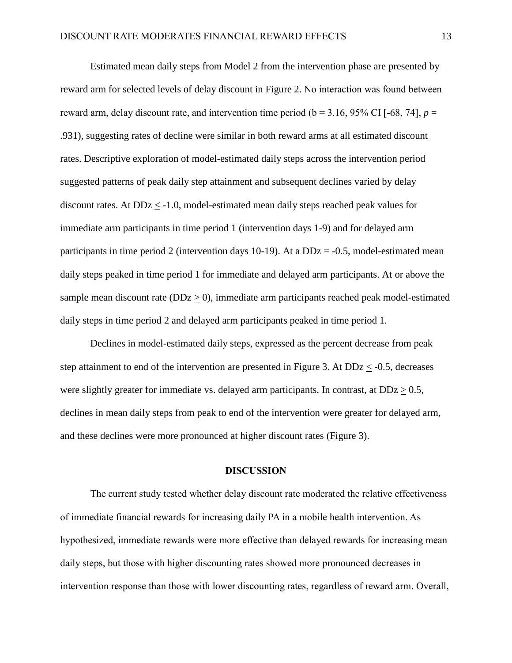Estimated mean daily steps from Model 2 from the intervention phase are presented by reward arm for selected levels of delay discount in Figure 2. No interaction was found between reward arm, delay discount rate, and intervention time period ( $b = 3.16$ , 95% CI [-68, 74],  $p =$ .931), suggesting rates of decline were similar in both reward arms at all estimated discount rates. Descriptive exploration of model-estimated daily steps across the intervention period suggested patterns of peak daily step attainment and subsequent declines varied by delay discount rates. At DDz < -1.0, model-estimated mean daily steps reached peak values for immediate arm participants in time period 1 (intervention days 1-9) and for delayed arm participants in time period 2 (intervention days 10-19). At a  $DDz = -0.5$ , model-estimated mean daily steps peaked in time period 1 for immediate and delayed arm participants. At or above the sample mean discount rate ( $DDz \geq 0$ ), immediate arm participants reached peak model-estimated daily steps in time period 2 and delayed arm participants peaked in time period 1.

Declines in model-estimated daily steps, expressed as the percent decrease from peak step attainment to end of the intervention are presented in Figure 3. At DDz < -0.5, decreases were slightly greater for immediate vs. delayed arm participants. In contrast, at  $DDz > 0.5$ , declines in mean daily steps from peak to end of the intervention were greater for delayed arm, and these declines were more pronounced at higher discount rates (Figure 3).

#### **DISCUSSION**

The current study tested whether delay discount rate moderated the relative effectiveness of immediate financial rewards for increasing daily PA in a mobile health intervention. As hypothesized, immediate rewards were more effective than delayed rewards for increasing mean daily steps, but those with higher discounting rates showed more pronounced decreases in intervention response than those with lower discounting rates, regardless of reward arm. Overall,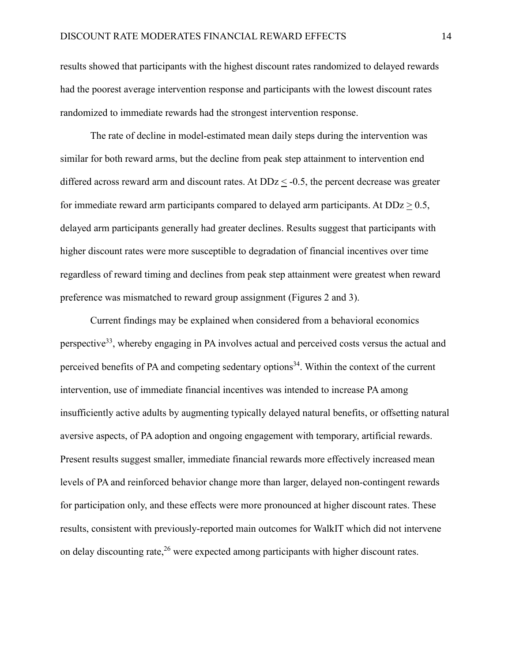results showed that participants with the highest discount rates randomized to delayed rewards had the poorest average intervention response and participants with the lowest discount rates randomized to immediate rewards had the strongest intervention response.

The rate of decline in model-estimated mean daily steps during the intervention was similar for both reward arms, but the decline from peak step attainment to intervention end differed across reward arm and discount rates. At  $DDz \leq -0.5$ , the percent decrease was greater for immediate reward arm participants compared to delayed arm participants. At  $DDz > 0.5$ , delayed arm participants generally had greater declines. Results suggest that participants with higher discount rates were more susceptible to degradation of financial incentives over time regardless of reward timing and declines from peak step attainment were greatest when reward preference was mismatched to reward group assignment (Figures 2 and 3).

Current findings may be explained when considered from a behavioral economics perspective[33](#page-24-5), whereby engaging in PA involves actual and perceived costs versus the actual and perceived benefits of PA and competing sedentary options<sup>[34](#page-24-6)</sup>. Within the context of the current intervention, use of immediate financial incentives was intended to increase PA among insufficiently active adults by augmenting typically delayed natural benefits, or offsetting natural aversive aspects, of PA adoption and ongoing engagement with temporary, artificial rewards. Present results suggest smaller, immediate financial rewards more effectively increased mean levels of PA and reinforced behavior change more than larger, delayed non-contingent rewards for participation only, and these effects were more pronounced at higher discount rates. These results, consistent with previously-reported main outcomes for WalkIT which did not intervene on delay discounting rate,  $2^6$  were expected among participants with higher discount rates.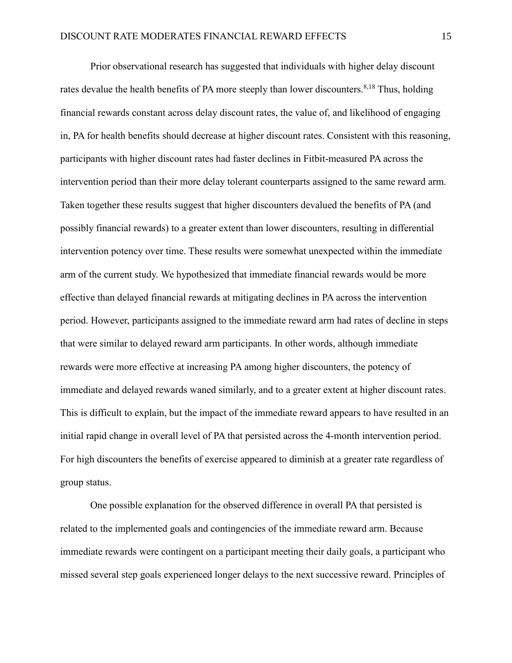Prior observational research has suggested that individuals with higher delay discount rates devalue the health benefits of PA more steeply than lower discounters.<sup>[8,](#page-21-7)[18](#page-22-4)</sup> Thus, holding financial rewards constant across delay discount rates, the value of, and likelihood of engaging in, PA for health benefits should decrease at higher discount rates. Consistent with this reasoning, participants with higher discount rates had faster declines in Fitbit-measured PA across the intervention period than their more delay tolerant counterparts assigned to the same reward arm. Taken together these results suggest that higher discounters devalued the benefits of PA (and possibly financial rewards) to a greater extent than lower discounters, resulting in differential intervention potency over time. These results were somewhat unexpected within the immediate arm of the current study. We hypothesized that immediate financial rewards would be more effective than delayed financial rewards at mitigating declines in PA across the intervention period. However, participants assigned to the immediate reward arm had rates of decline in steps that were similar to delayed reward arm participants. In other words, although immediate rewards were more effective at increasing PA among higher discounters, the potency of immediate and delayed rewards waned similarly, and to a greater extent at higher discount rates. This is difficult to explain, but the impact of the immediate reward appears to have resulted in an initial rapid change in overall level of PA that persisted across the 4-month intervention period. For high discounters the benefits of exercise appeared to diminish at a greater rate regardless of group status.

One possible explanation for the observed difference in overall PA that persisted is related to the implemented goals and contingencies of the immediate reward arm. Because immediate rewards were contingent on a participant meeting their daily goals, a participant who missed several step goals experienced longer delays to the next successive reward. Principles of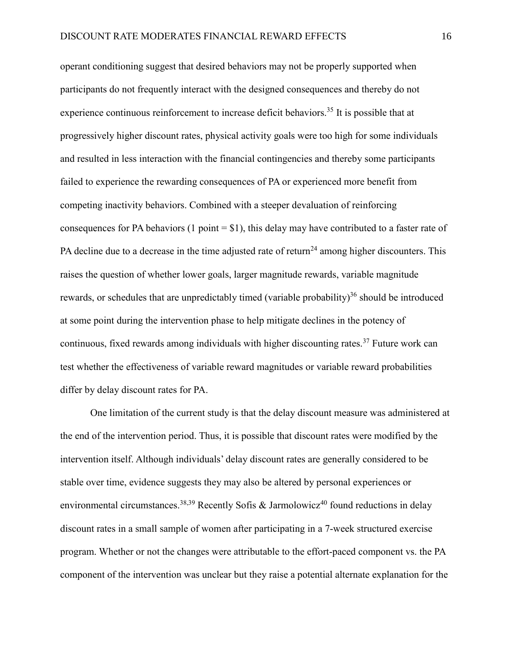operant conditioning suggest that desired behaviors may not be properly supported when participants do not frequently interact with the designed consequences and thereby do not experience continuous reinforcement to increase deficit behaviors.<sup>[35](#page-24-7)</sup> It is possible that at progressively higher discount rates, physical activity goals were too high for some individuals and resulted in less interaction with the financial contingencies and thereby some participants failed to experience the rewarding consequences of PA or experienced more benefit from competing inactivity behaviors. Combined with a steeper devaluation of reinforcing consequences for PA behaviors (1 point  $= $1$ ), this delay may have contributed to a faster rate of PA decline due to a decrease in the time adjusted rate of return<sup>[24](#page-23-5)</sup> among higher discounters. This raises the question of whether lower goals, larger magnitude rewards, variable magnitude rewards, or schedules that are unpredictably timed (variable probability)<sup>[36](#page-24-8)</sup> should be introduced at some point during the intervention phase to help mitigate declines in the potency of continuous, fixed rewards among individuals with higher discounting rates.<sup>[37](#page-25-0)</sup> Future work can test whether the effectiveness of variable reward magnitudes or variable reward probabilities differ by delay discount rates for PA.

One limitation of the current study is that the delay discount measure was administered at the end of the intervention period. Thus, it is possible that discount rates were modified by the intervention itself. Although individuals' delay discount rates are generally considered to be stable over time, evidence suggests they may also be altered by personal experiences or environmental circumstances.<sup>[38,](#page-25-1)[39](#page-25-2)</sup> Recently Sofis & Jarmolowicz<sup>[40](#page-25-3)</sup> found reductions in delay discount rates in a small sample of women after participating in a 7-week structured exercise program. Whether or not the changes were attributable to the effort-paced component vs. the PA component of the intervention was unclear but they raise a potential alternate explanation for the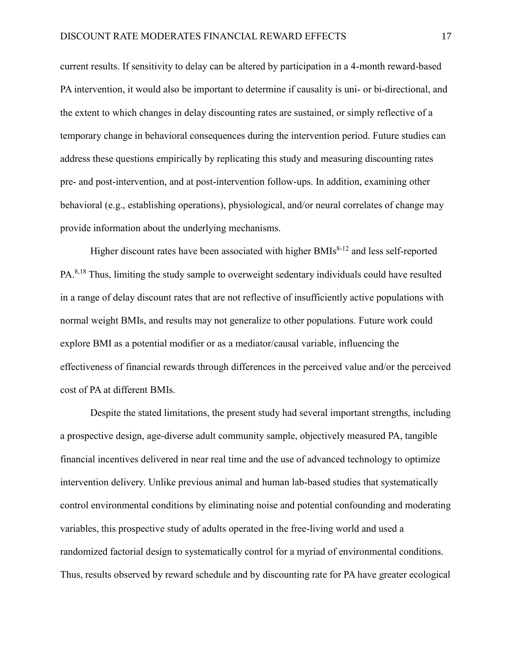current results. If sensitivity to delay can be altered by participation in a 4-month reward-based PA intervention, it would also be important to determine if causality is uni- or bi-directional, and the extent to which changes in delay discounting rates are sustained, or simply reflective of a temporary change in behavioral consequences during the intervention period. Future studies can address these questions empirically by replicating this study and measuring discounting rates pre- and post-intervention, and at post-intervention follow-ups. In addition, examining other behavioral (e.g., establishing operations), physiological, and/or neural correlates of change may provide information about the underlying mechanisms.

Higher discount rates have been associated with higher BMIs<sup>[8-12](#page-21-7)</sup> and less self-reported PA.<sup>[8](#page-21-7)[,18](#page-22-4)</sup> Thus, limiting the study sample to overweight sedentary individuals could have resulted in a range of delay discount rates that are not reflective of insufficiently active populations with normal weight BMIs, and results may not generalize to other populations. Future work could explore BMI as a potential modifier or as a mediator/causal variable, influencing the effectiveness of financial rewards through differences in the perceived value and/or the perceived cost of PA at different BMIs.

Despite the stated limitations, the present study had several important strengths, including a prospective design, age-diverse adult community sample, objectively measured PA, tangible financial incentives delivered in near real time and the use of advanced technology to optimize intervention delivery. Unlike previous animal and human lab-based studies that systematically control environmental conditions by eliminating noise and potential confounding and moderating variables, this prospective study of adults operated in the free-living world and used a randomized factorial design to systematically control for a myriad of environmental conditions. Thus, results observed by reward schedule and by discounting rate for PA have greater ecological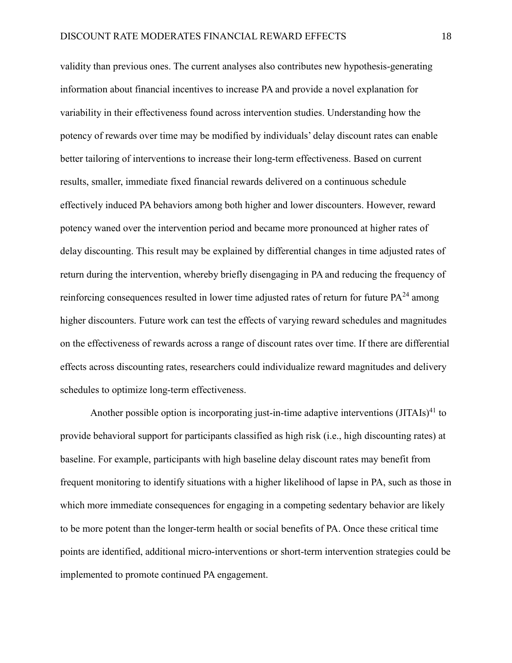validity than previous ones. The current analyses also contributes new hypothesis-generating information about financial incentives to increase PA and provide a novel explanation for variability in their effectiveness found across intervention studies. Understanding how the potency of rewards over time may be modified by individuals' delay discount rates can enable better tailoring of interventions to increase their long-term effectiveness. Based on current results, smaller, immediate fixed financial rewards delivered on a continuous schedule effectively induced PA behaviors among both higher and lower discounters. However, reward potency waned over the intervention period and became more pronounced at higher rates of delay discounting. This result may be explained by differential changes in time adjusted rates of return during the intervention, whereby briefly disengaging in PA and reducing the frequency of reinforcing consequences resulted in lower time adjusted rates of return for future  $PA^{24}$  $PA^{24}$  $PA^{24}$  among higher discounters. Future work can test the effects of varying reward schedules and magnitudes on the effectiveness of rewards across a range of discount rates over time. If there are differential effects across discounting rates, researchers could individualize reward magnitudes and delivery schedules to optimize long-term effectiveness.

Another possible option is incorporating just-in-time adaptive interventions (JITAIs)<sup>[41](#page-25-4)</sup> to provide behavioral support for participants classified as high risk (i.e., high discounting rates) at baseline. For example, participants with high baseline delay discount rates may benefit from frequent monitoring to identify situations with a higher likelihood of lapse in PA, such as those in which more immediate consequences for engaging in a competing sedentary behavior are likely to be more potent than the longer-term health or social benefits of PA. Once these critical time points are identified, additional micro-interventions or short-term intervention strategies could be implemented to promote continued PA engagement.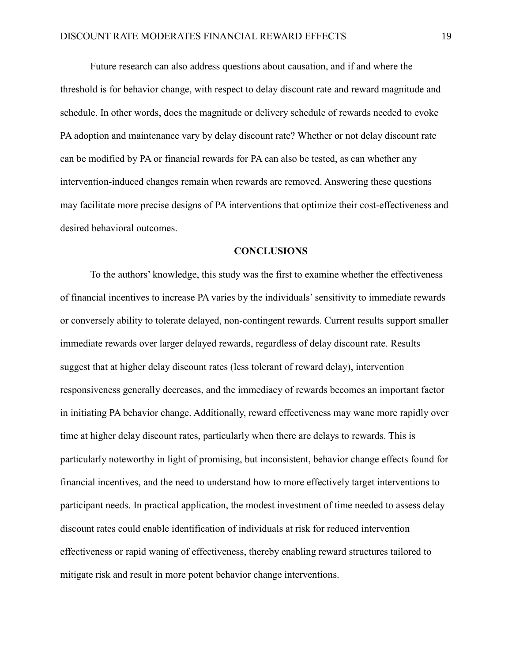Future research can also address questions about causation, and if and where the threshold is for behavior change, with respect to delay discount rate and reward magnitude and schedule. In other words, does the magnitude or delivery schedule of rewards needed to evoke PA adoption and maintenance vary by delay discount rate? Whether or not delay discount rate can be modified by PA or financial rewards for PA can also be tested, as can whether any intervention-induced changes remain when rewards are removed. Answering these questions may facilitate more precise designs of PA interventions that optimize their cost-effectiveness and desired behavioral outcomes.

#### **CONCLUSIONS**

To the authors' knowledge, this study was the first to examine whether the effectiveness of financial incentives to increase PA varies by the individuals' sensitivity to immediate rewards or conversely ability to tolerate delayed, non-contingent rewards. Current results support smaller immediate rewards over larger delayed rewards, regardless of delay discount rate. Results suggest that at higher delay discount rates (less tolerant of reward delay), intervention responsiveness generally decreases, and the immediacy of rewards becomes an important factor in initiating PA behavior change. Additionally, reward effectiveness may wane more rapidly over time at higher delay discount rates, particularly when there are delays to rewards. This is particularly noteworthy in light of promising, but inconsistent, behavior change effects found for financial incentives, and the need to understand how to more effectively target interventions to participant needs. In practical application, the modest investment of time needed to assess delay discount rates could enable identification of individuals at risk for reduced intervention effectiveness or rapid waning of effectiveness, thereby enabling reward structures tailored to mitigate risk and result in more potent behavior change interventions.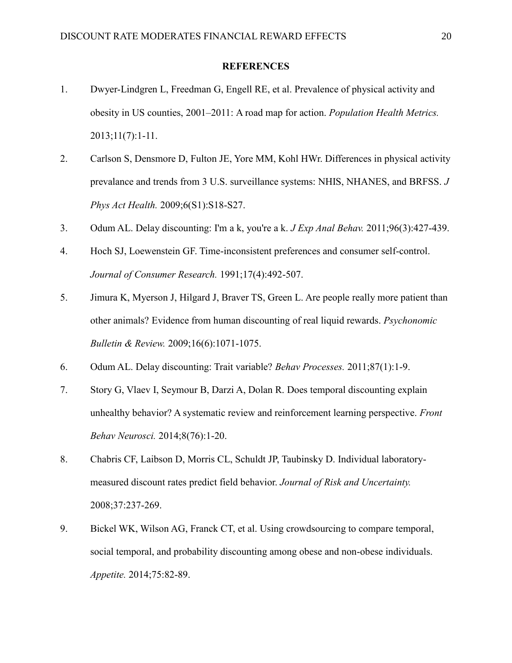#### **REFERENCES**

- <span id="page-21-0"></span>1. Dwyer-Lindgren L, Freedman G, Engell RE, et al. Prevalence of physical activity and obesity in US counties, 2001–2011: A road map for action. *Population Health Metrics.*  2013;11(7):1-11.
- <span id="page-21-1"></span>2. Carlson S, Densmore D, Fulton JE, Yore MM, Kohl HWr. Differences in physical activity prevalance and trends from 3 U.S. surveillance systems: NHIS, NHANES, and BRFSS. *J Phys Act Health.* 2009;6(S1):S18-S27.
- <span id="page-21-2"></span>3. Odum AL. Delay discounting: I'm a k, you're a k. *J Exp Anal Behav.* 2011;96(3):427-439.
- <span id="page-21-3"></span>4. Hoch SJ, Loewenstein GF. Time-inconsistent preferences and consumer self-control. *Journal of Consumer Research.* 1991;17(4):492-507.
- <span id="page-21-4"></span>5. Jimura K, Myerson J, Hilgard J, Braver TS, Green L. Are people really more patient than other animals? Evidence from human discounting of real liquid rewards. *Psychonomic Bulletin & Review.* 2009;16(6):1071-1075.
- <span id="page-21-5"></span>6. Odum AL. Delay discounting: Trait variable? *Behav Processes.* 2011;87(1):1-9.
- <span id="page-21-6"></span>7. Story G, Vlaev I, Seymour B, Darzi A, Dolan R. Does temporal discounting explain unhealthy behavior? A systematic review and reinforcement learning perspective. *Front Behav Neurosci.* 2014;8(76):1-20.
- <span id="page-21-7"></span>8. Chabris CF, Laibson D, Morris CL, Schuldt JP, Taubinsky D. Individual laboratorymeasured discount rates predict field behavior. *Journal of Risk and Uncertainty.*  2008;37:237-269.
- 9. Bickel WK, Wilson AG, Franck CT, et al. Using crowdsourcing to compare temporal, social temporal, and probability discounting among obese and non-obese individuals. *Appetite.* 2014;75:82-89.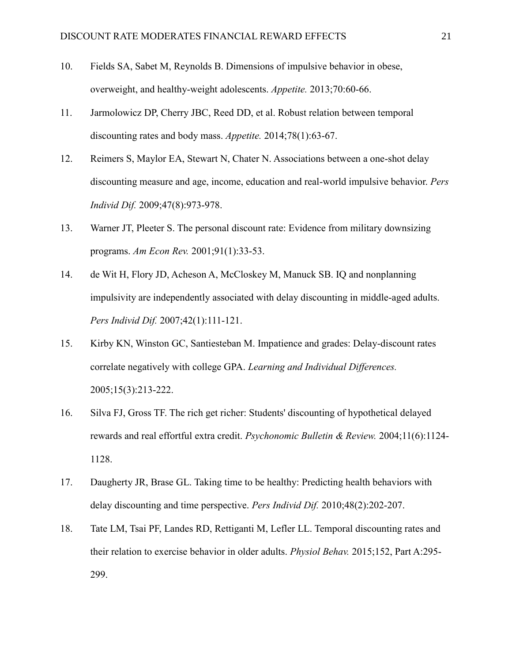- 10. Fields SA, Sabet M, Reynolds B. Dimensions of impulsive behavior in obese, overweight, and healthy-weight adolescents. *Appetite.* 2013;70:60-66.
- 11. Jarmolowicz DP, Cherry JBC, Reed DD, et al. Robust relation between temporal discounting rates and body mass. *Appetite.* 2014;78(1):63-67.
- <span id="page-22-0"></span>12. Reimers S, Maylor EA, Stewart N, Chater N. Associations between a one-shot delay discounting measure and age, income, education and real-world impulsive behavior. *Pers Individ Dif.* 2009;47(8):973-978.
- 13. Warner JT, Pleeter S. The personal discount rate: Evidence from military downsizing programs. *Am Econ Rev.* 2001;91(1):33-53.
- <span id="page-22-5"></span>14. de Wit H, Flory JD, Acheson A, McCloskey M, Manuck SB. IQ and nonplanning impulsivity are independently associated with delay discounting in middle-aged adults. *Pers Individ Dif.* 2007;42(1):111-121.
- <span id="page-22-1"></span>15. Kirby KN, Winston GC, Santiesteban M. Impatience and grades: Delay-discount rates correlate negatively with college GPA. *Learning and Individual Differences.*  2005;15(3):213-222.
- <span id="page-22-2"></span>16. Silva FJ, Gross TF. The rich get richer: Students' discounting of hypothetical delayed rewards and real effortful extra credit. *Psychonomic Bulletin & Review.* 2004;11(6):1124- 1128.
- <span id="page-22-3"></span>17. Daugherty JR, Brase GL. Taking time to be healthy: Predicting health behaviors with delay discounting and time perspective. *Pers Individ Dif.* 2010;48(2):202-207.
- <span id="page-22-4"></span>18. Tate LM, Tsai PF, Landes RD, Rettiganti M, Lefler LL. Temporal discounting rates and their relation to exercise behavior in older adults. *Physiol Behav.* 2015;152, Part A:295- 299.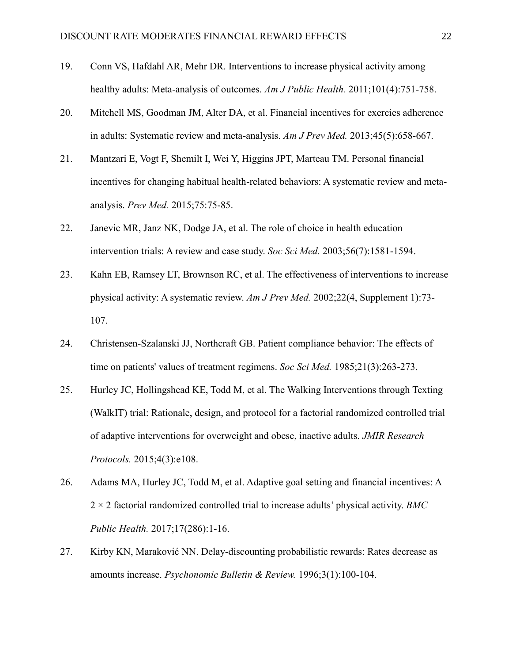- <span id="page-23-0"></span>19. Conn VS, Hafdahl AR, Mehr DR. Interventions to increase physical activity among healthy adults: Meta-analysis of outcomes. *Am J Public Health.* 2011;101(4):751-758.
- <span id="page-23-1"></span>20. Mitchell MS, Goodman JM, Alter DA, et al. Financial incentives for exercies adherence in adults: Systematic review and meta-analysis. *Am J Prev Med.* 2013;45(5):658-667.
- <span id="page-23-2"></span>21. Mantzari E, Vogt F, Shemilt I, Wei Y, Higgins JPT, Marteau TM. Personal financial incentives for changing habitual health-related behaviors: A systematic review and metaanalysis. *Prev Med.* 2015;75:75-85.
- <span id="page-23-3"></span>22. Janevic MR, Janz NK, Dodge JA, et al. The role of choice in health education intervention trials: A review and case study. *Soc Sci Med.* 2003;56(7):1581-1594.
- <span id="page-23-4"></span>23. Kahn EB, Ramsey LT, Brownson RC, et al. The effectiveness of interventions to increase physical activity: A systematic review. *Am J Prev Med.* 2002;22(4, Supplement 1):73- 107.
- <span id="page-23-5"></span>24. Christensen-Szalanski JJ, Northcraft GB. Patient compliance behavior: The effects of time on patients' values of treatment regimens. *Soc Sci Med.* 1985;21(3):263-273.
- <span id="page-23-6"></span>25. Hurley JC, Hollingshead KE, Todd M, et al. The Walking Interventions through Texting (WalkIT) trial: Rationale, design, and protocol for a factorial randomized controlled trial of adaptive interventions for overweight and obese, inactive adults. *JMIR Research Protocols.* 2015;4(3):e108.
- <span id="page-23-7"></span>26. Adams MA, Hurley JC, Todd M, et al. Adaptive goal setting and financial incentives: A 2 × 2 factorial randomized controlled trial to increase adults' physical activity. *BMC Public Health.* 2017;17(286):1-16.
- <span id="page-23-8"></span>27. Kirby KN, Maraković NN. Delay-discounting probabilistic rewards: Rates decrease as amounts increase. *Psychonomic Bulletin & Review.* 1996;3(1):100-104.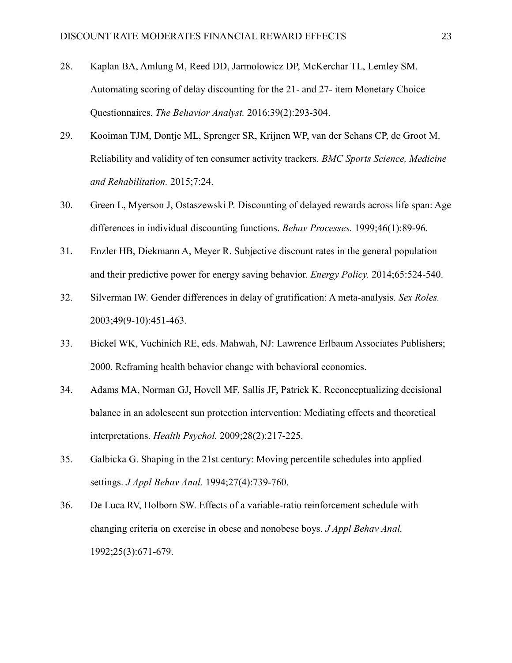- <span id="page-24-0"></span>28. Kaplan BA, Amlung M, Reed DD, Jarmolowicz DP, McKerchar TL, Lemley SM. Automating scoring of delay discounting for the 21- and 27- item Monetary Choice Questionnaires. *The Behavior Analyst.* 2016;39(2):293-304.
- <span id="page-24-1"></span>29. Kooiman TJM, Dontje ML, Sprenger SR, Krijnen WP, van der Schans CP, de Groot M. Reliability and validity of ten consumer activity trackers. *BMC Sports Science, Medicine and Rehabilitation.* 2015;7:24.
- <span id="page-24-2"></span>30. Green L, Myerson J, Ostaszewski P. Discounting of delayed rewards across life span: Age differences in individual discounting functions. *Behav Processes.* 1999;46(1):89-96.
- <span id="page-24-3"></span>31. Enzler HB, Diekmann A, Meyer R. Subjective discount rates in the general population and their predictive power for energy saving behavior. *Energy Policy.* 2014;65:524-540.
- <span id="page-24-4"></span>32. Silverman IW. Gender differences in delay of gratification: A meta-analysis. *Sex Roles.*  2003;49(9-10):451-463.
- <span id="page-24-5"></span>33. Bickel WK, Vuchinich RE, eds. Mahwah, NJ: Lawrence Erlbaum Associates Publishers; 2000. Reframing health behavior change with behavioral economics.
- <span id="page-24-6"></span>34. Adams MA, Norman GJ, Hovell MF, Sallis JF, Patrick K. Reconceptualizing decisional balance in an adolescent sun protection intervention: Mediating effects and theoretical interpretations. *Health Psychol.* 2009;28(2):217-225.
- <span id="page-24-7"></span>35. Galbicka G. Shaping in the 21st century: Moving percentile schedules into applied settings. *J Appl Behav Anal.* 1994;27(4):739-760.
- <span id="page-24-8"></span>36. De Luca RV, Holborn SW. Effects of a variable-ratio reinforcement schedule with changing criteria on exercise in obese and nonobese boys. *J Appl Behav Anal.*  1992;25(3):671-679.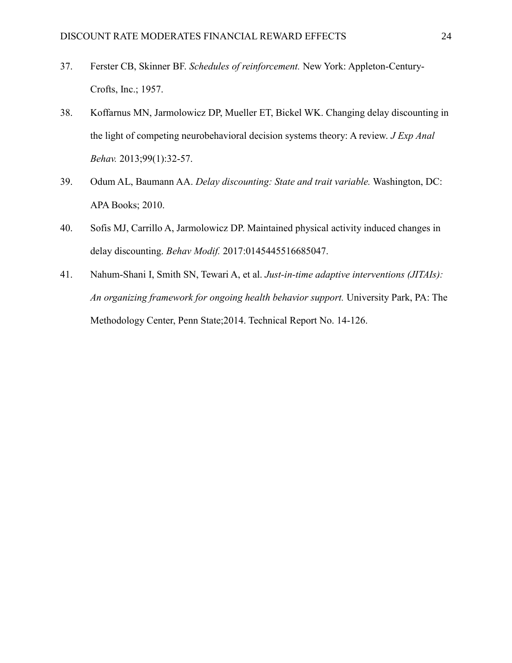- <span id="page-25-0"></span>37. Ferster CB, Skinner BF. *Schedules of reinforcement.* New York: Appleton-Century-Crofts, Inc.; 1957.
- <span id="page-25-1"></span>38. Koffarnus MN, Jarmolowicz DP, Mueller ET, Bickel WK. Changing delay discounting in the light of competing neurobehavioral decision systems theory: A review. *J Exp Anal Behav.* 2013;99(1):32-57.
- <span id="page-25-2"></span>39. Odum AL, Baumann AA. *Delay discounting: State and trait variable.* Washington, DC: APA Books; 2010.
- <span id="page-25-3"></span>40. Sofis MJ, Carrillo A, Jarmolowicz DP. Maintained physical activity induced changes in delay discounting. *Behav Modif.* 2017:0145445516685047.
- <span id="page-25-4"></span>41. Nahum-Shani I, Smith SN, Tewari A, et al. *Just-in-time adaptive interventions (JITAIs): An organizing framework for ongoing health behavior support.* University Park, PA: The Methodology Center, Penn State;2014. Technical Report No. 14-126.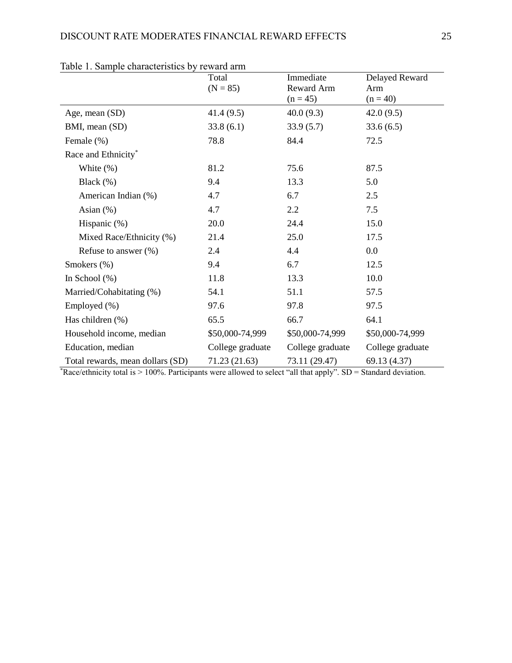|                                  | Total<br>$(N = 85)$ | Immediate<br>Reward Arm<br>$(n = 45)$ | Delayed Reward<br>Arm<br>$(n = 40)$ |
|----------------------------------|---------------------|---------------------------------------|-------------------------------------|
| Age, mean (SD)                   | 41.4(9.5)           | 40.0(9.3)                             | 42.0(9.5)                           |
| BMI, mean (SD)                   | 33.8(6.1)           | 33.9(5.7)                             | 33.6(6.5)                           |
| Female $(\%)$                    | 78.8                | 84.4                                  | 72.5                                |
| Race and Ethnicity*              |                     |                                       |                                     |
| White $(\%)$                     | 81.2                | 75.6                                  | 87.5                                |
| Black $(\%)$                     | 9.4                 | 13.3                                  | 5.0                                 |
| American Indian (%)              | 4.7                 | 6.7                                   | 2.5                                 |
| Asian $(\%)$                     | 4.7                 | 2.2                                   | 7.5                                 |
| Hispanic $(\%)$                  | 20.0                | 24.4                                  | 15.0                                |
| Mixed Race/Ethnicity (%)         | 21.4                | 25.0                                  | 17.5                                |
| Refuse to answer $(\%)$          | 2.4                 | 4.4                                   | 0.0                                 |
| Smokers (%)                      | 9.4                 | 6.7                                   | 12.5                                |
| In School $(\%)$                 | 11.8                | 13.3                                  | 10.0                                |
| Married/Cohabitating (%)         | 54.1                | 51.1                                  | 57.5                                |
| Employed (%)                     | 97.6                | 97.8                                  | 97.5                                |
| Has children $(\%)$              | 65.5                | 66.7                                  | 64.1                                |
| Household income, median         | \$50,000-74,999     | \$50,000-74,999                       | \$50,000-74,999                     |
| Education, median                | College graduate    | College graduate                      | College graduate                    |
| Total rewards, mean dollars (SD) | 71.23 (21.63)       | 73.11 (29.47)                         | 69.13 (4.37)                        |

|  |  | Table 1. Sample characteristics by reward arm |  |  |
|--|--|-----------------------------------------------|--|--|
|--|--|-----------------------------------------------|--|--|

\*Race/ethnicity total is > 100%. Participants were allowed to select "all that apply". SD = Standard deviation.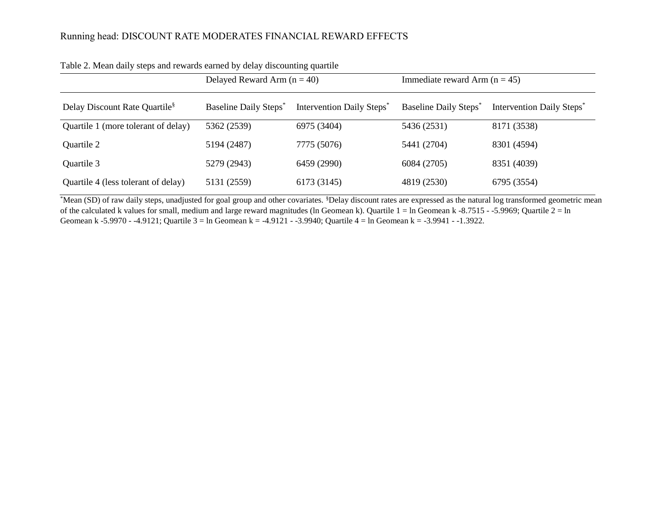|                                           | Delayed Reward Arm $(n = 40)$     |                                       | Immediate reward Arm $(n = 45)$ |                                       |  |
|-------------------------------------------|-----------------------------------|---------------------------------------|---------------------------------|---------------------------------------|--|
| Delay Discount Rate Quartile <sup>§</sup> | Baseline Daily Steps <sup>*</sup> | Intervention Daily Steps <sup>*</sup> | <b>Baseline Daily Steps</b>     | Intervention Daily Steps <sup>*</sup> |  |
| Quartile 1 (more tolerant of delay)       | 5362 (2539)                       | 6975 (3404)                           | 5436 (2531)                     | 8171 (3538)                           |  |
| Quartile 2                                | 5194 (2487)                       | 7775 (5076)                           | 5441 (2704)                     | 8301 (4594)                           |  |
| Quartile 3                                | 5279 (2943)                       | 6459 (2990)                           | 6084 (2705)                     | 8351 (4039)                           |  |
| Quartile 4 (less tolerant of delay)       | 5131 (2559)                       | 6173 (3145)                           | 4819 (2530)                     | 6795 (3554)                           |  |

Table 2. Mean daily steps and rewards earned by delay discounting quartile

\*Mean (SD) of raw daily steps, unadjusted for goal group and other covariates. <sup>§</sup>Delay discount rates are expressed as the natural log transformed geometric mean of the calculated k values for small, medium and large reward magnitudes (ln Geomean k). Quartile 1 = ln Geomean k -8.7515 - -5.9969; Quartile 2 = ln Geomean k -5.9970 - -4.9121; Quartile 3 = ln Geomean k = -4.9121 - -3.9940; Quartile 4 = ln Geomean k = -3.9941 - -1.3922.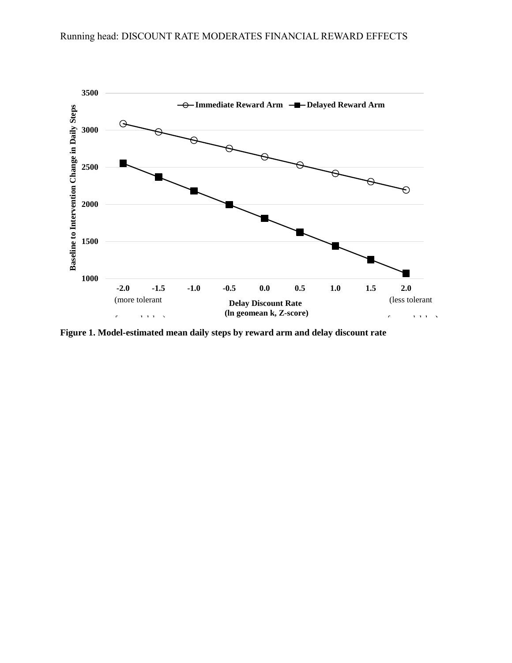

**Figure 1. Model-estimated mean daily steps by reward arm and delay discount rate**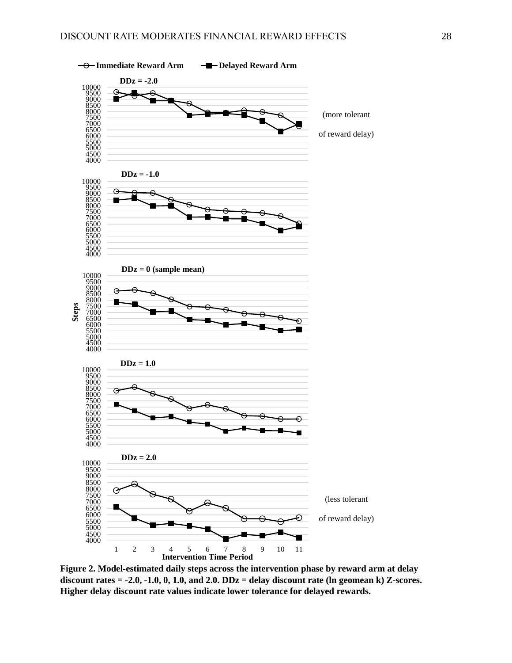

**Figure 2. Model-estimated daily steps across the intervention phase by reward arm at delay discount rates = -2.0, -1.0, 0, 1.0, and 2.0. DDz = delay discount rate (ln geomean k) Z-scores. Higher delay discount rate values indicate lower tolerance for delayed rewards.**